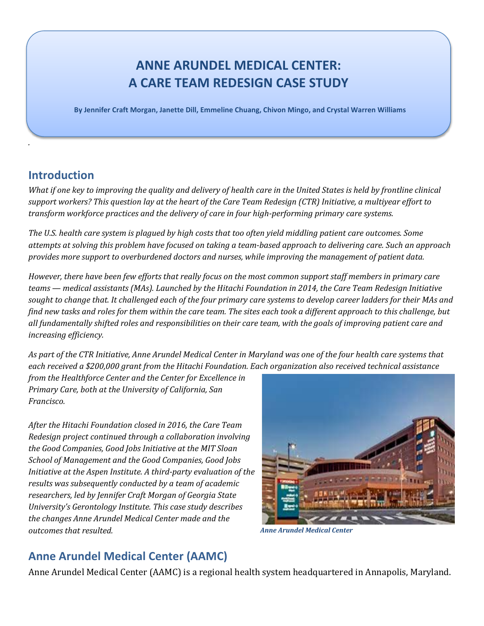# **ANNE ARUNDEL MEDICAL CENTER: A CARE TEAM REDESIGN CASE STUDY**

 **By Jennifer Craft Morgan, Janette Dill, Emmeline Chuang, Chivon Mingo, and Crystal Warren Williams**

#### **Introduction**

*.*

*What if one key to improving the quality and delivery of health care in the United States is held by frontline clinical support workers? This question lay at the heart of the Care Team Redesign (CTR) Initiative, a multiyear effort to transform workforce practices and the delivery of care in four high-performing primary care systems.*

*The U.S. health care system is plagued by high costs that too often yield middling patient care outcomes. Some attempts at solving this problem have focused on taking a team-based approach to delivering care. Such an approach provides more support to overburdened doctors and nurses, while improving the management of patient data.* 

*However, there have been few efforts that really focus on the most common support staff members in primary care teams — medical assistants (MAs). Launched by the Hitachi Foundation in 2014, the Care Team Redesign Initiative sought to change that. It challenged each of the four primary care systems to develop career ladders for their MAs and find new tasks and roles for them within the care team. The sites each took a different approach to this challenge, but all fundamentally shifted roles and responsibilities on their care team, with the goals of improving patient care and increasing efficiency.* 

*As part of the CTR Initiative, Anne Arundel Medical Center in Maryland was one of the four health care systems that each received a \$200,000 grant from the Hitachi Foundation. Each organization also received technical assistance* 

*from the Healthforce Center and the Center for Excellence in Primary Care, both at the University of California, San Francisco.* 

*After the Hitachi Foundation closed in 2016, the Care Team Redesign project continued through a collaboration involving the Good Companies, Good Jobs Initiative at the MIT Sloan School of Management and the Good Companies, Good Jobs Initiative at the Aspen Institute. A third-party evaluation of the results was subsequently conducted by a team of academic researchers, led by Jennifer Craft Morgan of Georgia State University's Gerontology Institute. This case study describes the changes Anne Arundel Medical Center made and the outcomes that resulted.*



*Anne Arundel Medical Center* 

## **Anne Arundel Medical Center (AAMC)**

Anne Arundel Medical Center (AAMC) is a regional health system headquartered in Annapolis, Maryland.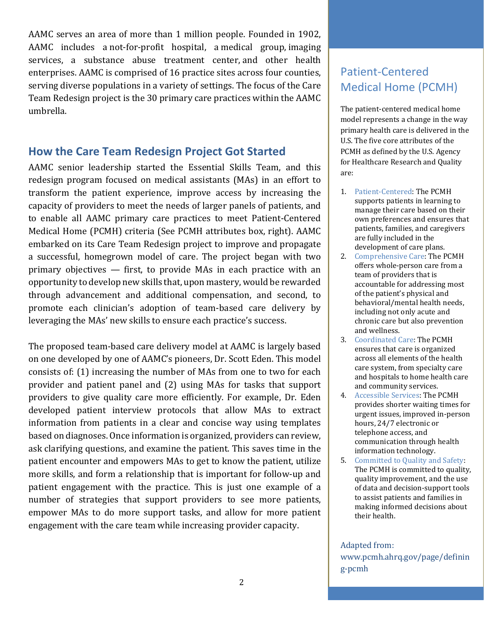AAMC serves an area of more than 1 million people. Founded in 1902, AAMC includes a not-for-profit hospital, a medical group, imaging services, a substance abuse treatment center, and other health enterprises. AAMC is comprised of 16 practice sites across four counties, serving diverse populations in a variety of settings. The focus of the Care Team Redesign project is the 30 primary care practices within the AAMC umbrella.

#### **How the Care Team Redesign Project Got Started**

AAMC senior leadership started the Essential Skills Team, and this redesign program focused on medical assistants (MAs) in an effort to transform the patient experience, improve access by increasing the capacity of providers to meet the needs of larger panels of patients, and to enable all AAMC primary care practices to meet Patient-Centered Medical Home (PCMH) criteria (See PCMH attributes box, right). AAMC embarked on its Care Team Redesign project to improve and propagate a successful, homegrown model of care. The project began with two primary objectives — first, to provide MAs in each practice with an opportunity to develop new skills that, upon mastery, would be rewarded through advancement and additional compensation, and second, to promote each clinician's adoption of team-based care delivery by leveraging the MAs' new skills to ensure each practice's success.

The proposed team-based care delivery model at AAMC is largely based on one developed by one of AAMC's pioneers, Dr. Scott Eden. This model consists of: (1) increasing the number of MAs from one to two for each provider and patient panel and (2) using MAs for tasks that support providers to give quality care more efficiently. For example, Dr. Eden developed patient interview protocols that allow MAs to extract information from patients in a clear and concise way using templates based on diagnoses. Once information is organized, providers can review, ask clarifying questions, and examine the patient. This saves time in the patient encounter and empowers MAs to get to know the patient, utilize more skills, and form a relationship that is important for follow-up and patient engagement with the practice. This is just one example of a number of strategies that support providers to see more patients, empower MAs to do more support tasks, and allow for more patient engagement with the care team while increasing provider capacity.

## Patient-Centered Medical Home (PCMH)

The patient-centered medical home model represents a change in the way primary health care is delivered in the U.S. The five core attributes of the PCMH as defined by the U.S. Agency for Healthcare Research and Quality are:

- 1. Patient-Centered: The PCMH supports patients in learning to manage their care based on their own preferences and ensures that patients, families, and caregivers are fully included in the development of care plans.
- 2. Comprehensive Care: The PCMH offers whole-person care from a team of providers that is accountable for addressing most of the patient's physical and behavioral/mental health needs, including not only acute and chronic care but also prevention and wellness.
- 3. Coordinated Care: The PCMH ensures that care is organized across all elements of the health care system, from specialty care and hospitals to home health care and community services.
- 4. Accessible Services: The PCMH provides shorter waiting times for urgent issues, improved in-person hours, 24/7 electronic or telephone access, and communication through health information technology.
- 5. Committed to Quality and Safety: The PCMH is committed to quality, quality improvement, and the use of data and decision-support tools to assist patients and families in making informed decisions about their health.

Adapted from: www.pcmh.ahrq.gov/page/definin g-pcmh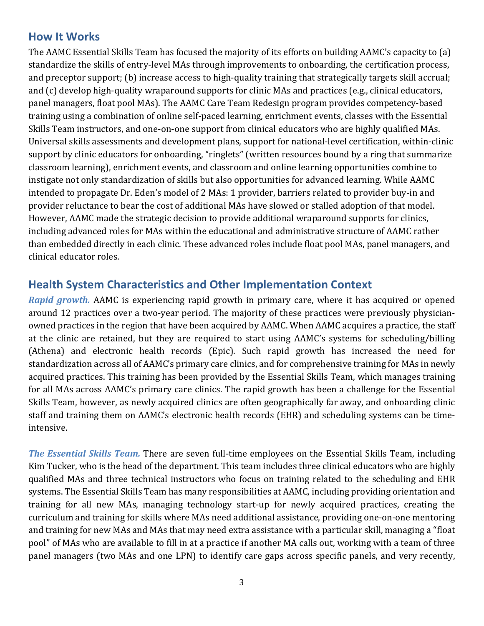#### **How It Works**

The AAMC Essential Skills Team has focused the majority of its efforts on building AAMC's capacity to (a) standardize the skills of entry-level MAs through improvements to onboarding, the certification process, and preceptor support; (b) increase access to high-quality training that strategically targets skill accrual; and (c) develop high-quality wraparound supports for clinic MAs and practices (e.g., clinical educators, panel managers, float pool MAs). The AAMC Care Team Redesign program provides competency-based training using a combination of online self-paced learning, enrichment events, classes with the Essential Skills Team instructors, and one-on-one support from clinical educators who are highly qualified MAs. Universal skills assessments and development plans, support for national-level certification, within-clinic support by clinic educators for onboarding, "ringlets" (written resources bound by a ring that summarize classroom learning), enrichment events, and classroom and online learning opportunities combine to instigate not only standardization of skills but also opportunities for advanced learning. While AAMC intended to propagate Dr. Eden's model of 2 MAs: 1 provider, barriers related to provider buy-in and provider reluctance to bear the cost of additional MAs have slowed or stalled adoption of that model. However, AAMC made the strategic decision to provide additional wraparound supports for clinics, including advanced roles for MAs within the educational and administrative structure of AAMC rather than embedded directly in each clinic. These advanced roles include float pool MAs, panel managers, and clinical educator roles.

#### **Health System Characteristics and Other Implementation Context**

*Rapid growth.* AAMC is experiencing rapid growth in primary care, where it has acquired or opened around 12 practices over a two-year period. The majority of these practices were previously physicianowned practices in the region that have been acquired by AAMC. When AAMC acquires a practice, the staff at the clinic are retained, but they are required to start using AAMC's systems for scheduling/billing (Athena) and electronic health records (Epic). Such rapid growth has increased the need for standardization across all of AAMC's primary care clinics, and for comprehensive training for MAs in newly acquired practices. This training has been provided by the Essential Skills Team, which manages training for all MAs across AAMC's primary care clinics. The rapid growth has been a challenge for the Essential Skills Team, however, as newly acquired clinics are often geographically far away, and onboarding clinic staff and training them on AAMC's electronic health records (EHR) and scheduling systems can be timeintensive.

*The Essential Skills Team.* There are seven full-time employees on the Essential Skills Team, including Kim Tucker, who is the head of the department. This team includes three clinical educators who are highly qualified MAs and three technical instructors who focus on training related to the scheduling and EHR systems. The Essential Skills Team has many responsibilities at AAMC, including providing orientation and training for all new MAs, managing technology start-up for newly acquired practices, creating the curriculum and training for skills where MAs need additional assistance, providing one-on-one mentoring and training for new MAs and MAs that may need extra assistance with a particular skill, managing a "float pool" of MAs who are available to fill in at a practice if another MA calls out, working with a team of three panel managers (two MAs and one LPN) to identify care gaps across specific panels, and very recently,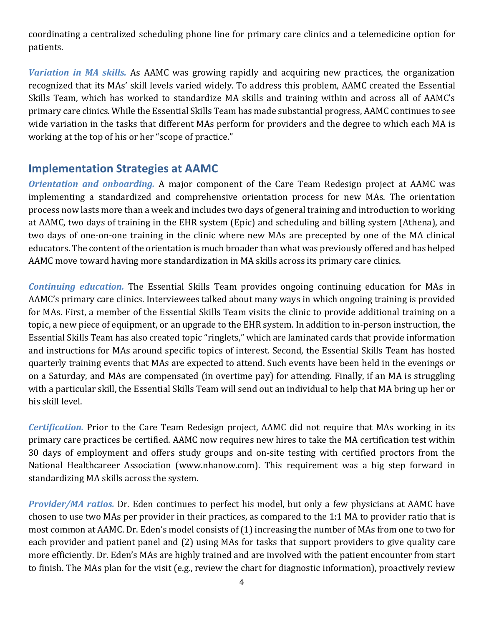coordinating a centralized scheduling phone line for primary care clinics and a telemedicine option for patients.

*Variation in MA skills.* As AAMC was growing rapidly and acquiring new practices, the organization recognized that its MAs' skill levels varied widely. To address this problem, AAMC created the Essential Skills Team, which has worked to standardize MA skills and training within and across all of AAMC's primary care clinics. While the Essential Skills Team has made substantial progress, AAMC continues to see wide variation in the tasks that different MAs perform for providers and the degree to which each MA is working at the top of his or her "scope of practice."

#### **Implementation Strategies at AAMC**

*Orientation and onboarding.* A major component of the Care Team Redesign project at AAMC was implementing a standardized and comprehensive orientation process for new MAs. The orientation process now lasts more than a week and includes two days of general training and introduction to working at AAMC, two days of training in the EHR system (Epic) and scheduling and billing system (Athena), and two days of one-on-one training in the clinic where new MAs are precepted by one of the MA clinical educators. The content of the orientation is much broader than what was previously offered and has helped AAMC move toward having more standardization in MA skills across its primary care clinics.

*Continuing education.* The Essential Skills Team provides ongoing continuing education for MAs in AAMC's primary care clinics. Interviewees talked about many ways in which ongoing training is provided for MAs. First, a member of the Essential Skills Team visits the clinic to provide additional training on a topic, a new piece of equipment, or an upgrade to the EHR system. In addition to in-person instruction, the Essential Skills Team has also created topic "ringlets," which are laminated cards that provide information and instructions for MAs around specific topics of interest. Second, the Essential Skills Team has hosted quarterly training events that MAs are expected to attend. Such events have been held in the evenings or on a Saturday, and MAs are compensated (in overtime pay) for attending. Finally, if an MA is struggling with a particular skill, the Essential Skills Team will send out an individual to help that MA bring up her or his skill level.

*Certification.* Prior to the Care Team Redesign project, AAMC did not require that MAs working in its primary care practices be certified. AAMC now requires new hires to take the MA certification test within 30 days of employment and offers study groups and on-site testing with certified proctors from the National Healthcareer Association (www.nhanow.com). This requirement was a big step forward in standardizing MA skills across the system.

*Provider/MA ratios.* Dr. Eden continues to perfect his model, but only a few physicians at AAMC have chosen to use two MAs per provider in their practices, as compared to the 1:1 MA to provider ratio that is most common at AAMC. Dr. Eden's model consists of (1) increasing the number of MAs from one to two for each provider and patient panel and (2) using MAs for tasks that support providers to give quality care more efficiently. Dr. Eden's MAs are highly trained and are involved with the patient encounter from start to finish. The MAs plan for the visit (e.g., review the chart for diagnostic information), proactively review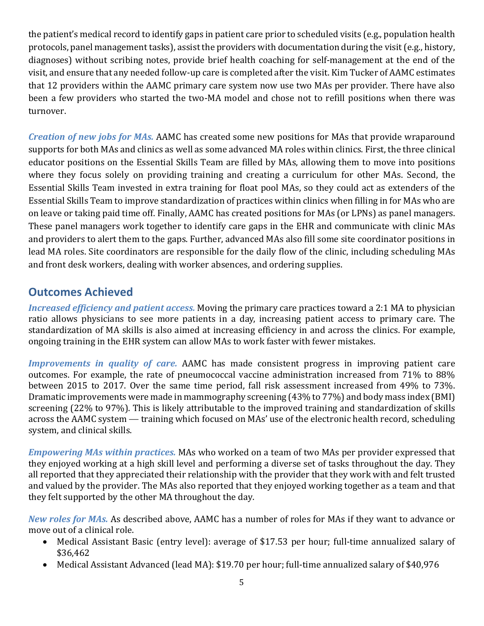the patient's medical record to identify gaps in patient care prior to scheduled visits (e.g., population health protocols, panel management tasks), assist the providers with documentation during the visit (e.g., history, diagnoses) without scribing notes, provide brief health coaching for self-management at the end of the visit, and ensure that any needed follow-up care is completed after the visit. Kim Tucker of AAMC estimates that 12 providers within the AAMC primary care system now use two MAs per provider. There have also been a few providers who started the two-MA model and chose not to refill positions when there was turnover.

*Creation of new jobs for MAs.* AAMC has created some new positions for MAs that provide wraparound supports for both MAs and clinics as well as some advanced MA roles within clinics. First, the three clinical educator positions on the Essential Skills Team are filled by MAs, allowing them to move into positions where they focus solely on providing training and creating a curriculum for other MAs. Second, the Essential Skills Team invested in extra training for float pool MAs, so they could act as extenders of the Essential Skills Team to improve standardization of practices within clinics when filling in for MAs who are on leave or taking paid time off. Finally, AAMC has created positions for MAs (or LPNs) as panel managers. These panel managers work together to identify care gaps in the EHR and communicate with clinic MAs and providers to alert them to the gaps. Further, advanced MAs also fill some site coordinator positions in lead MA roles. Site coordinators are responsible for the daily flow of the clinic, including scheduling MAs and front desk workers, dealing with worker absences, and ordering supplies.

## **Outcomes Achieved**

*Increased efficiency and patient access.* Moving the primary care practices toward a 2:1 MA to physician ratio allows physicians to see more patients in a day, increasing patient access to primary care. The standardization of MA skills is also aimed at increasing efficiency in and across the clinics. For example, ongoing training in the EHR system can allow MAs to work faster with fewer mistakes.

*Improvements in quality of care.* AAMC has made consistent progress in improving patient care outcomes. For example, the rate of pneumococcal vaccine administration increased from 71% to 88% between 2015 to 2017. Over the same time period, fall risk assessment increased from 49% to 73%. Dramatic improvements were made in mammography screening (43% to 77%) and body mass index (BMI) screening (22% to 97%). This is likely attributable to the improved training and standardization of skills across the AAMC system — training which focused on MAs' use of the electronic health record, scheduling system, and clinical skills.

*Empowering MAs within practices.* MAs who worked on a team of two MAs per provider expressed that they enjoyed working at a high skill level and performing a diverse set of tasks throughout the day. They all reported that they appreciated their relationship with the provider that they work with and felt trusted and valued by the provider. The MAs also reported that they enjoyed working together as a team and that they felt supported by the other MA throughout the day.

*New roles for MAs.* As described above, AAMC has a number of roles for MAs if they want to advance or move out of a clinical role.

- Medical Assistant Basic (entry level): average of \$17.53 per hour; full-time annualized salary of \$36,462
- Medical Assistant Advanced (lead MA): \$19.70 per hour; full-time annualized salary of \$40,976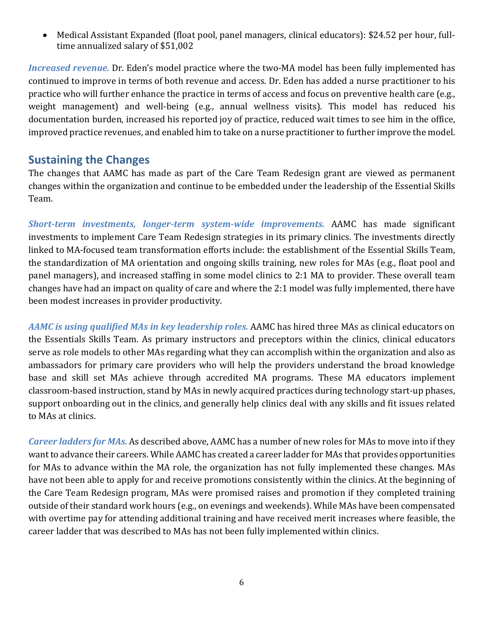• Medical Assistant Expanded (float pool, panel managers, clinical educators): \$24.52 per hour, fulltime annualized salary of \$51,002

*Increased revenue.* Dr. Eden's model practice where the two-MA model has been fully implemented has continued to improve in terms of both revenue and access. Dr. Eden has added a nurse practitioner to his practice who will further enhance the practice in terms of access and focus on preventive health care (e.g., weight management) and well-being (e.g., annual wellness visits). This model has reduced his documentation burden, increased his reported joy of practice, reduced wait times to see him in the office, improved practice revenues, and enabled him to take on a nurse practitioner to further improve the model.

#### **Sustaining the Changes**

The changes that AAMC has made as part of the Care Team Redesign grant are viewed as permanent changes within the organization and continue to be embedded under the leadership of the Essential Skills Team.

*Short-term investments, longer-term system-wide improvements.* AAMC has made significant investments to implement Care Team Redesign strategies in its primary clinics. The investments directly linked to MA-focused team transformation efforts include: the establishment of the Essential Skills Team, the standardization of MA orientation and ongoing skills training, new roles for MAs (e.g., float pool and panel managers), and increased staffing in some model clinics to 2:1 MA to provider. These overall team changes have had an impact on quality of care and where the 2:1 model was fully implemented, there have been modest increases in provider productivity.

*AAMC is using qualified MAs in key leadership roles.* AAMC has hired three MAs as clinical educators on the Essentials Skills Team. As primary instructors and preceptors within the clinics, clinical educators serve as role models to other MAs regarding what they can accomplish within the organization and also as ambassadors for primary care providers who will help the providers understand the broad knowledge base and skill set MAs achieve through accredited MA programs. These MA educators implement classroom-based instruction, stand by MAs in newly acquired practices during technology start-up phases, support onboarding out in the clinics, and generally help clinics deal with any skills and fit issues related to MAs at clinics.

*Career ladders for MAs.* As described above, AAMC has a number of new roles for MAs to move into if they want to advance their careers. While AAMC has created a career ladder for MAs that provides opportunities for MAs to advance within the MA role, the organization has not fully implemented these changes. MAs have not been able to apply for and receive promotions consistently within the clinics. At the beginning of the Care Team Redesign program, MAs were promised raises and promotion if they completed training outside of their standard work hours (e.g., on evenings and weekends). While MAs have been compensated with overtime pay for attending additional training and have received merit increases where feasible, the career ladder that was described to MAs has not been fully implemented within clinics.